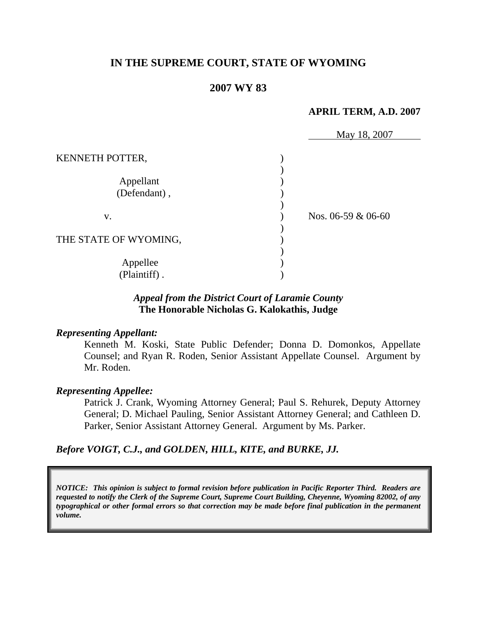# **IN THE SUPREME COURT, STATE OF WYOMING**

## **2007 WY 83**

#### **APRIL TERM, A.D. 2007**

|                                              | May 18, 2007         |  |
|----------------------------------------------|----------------------|--|
| KENNETH POTTER,<br>Appellant<br>(Defendant), |                      |  |
| V.                                           | Nos. $06-59 & 06-60$ |  |
| THE STATE OF WYOMING,                        |                      |  |
| Appellee<br>(Plaintiff).                     |                      |  |

## *Appeal from the District Court of Laramie County* **The Honorable Nicholas G. Kalokathis, Judge**

#### *Representing Appellant:*

Kenneth M. Koski, State Public Defender; Donna D. Domonkos, Appellate Counsel; and Ryan R. Roden, Senior Assistant Appellate Counsel. Argument by Mr. Roden.

#### *Representing Appellee:*

Patrick J. Crank, Wyoming Attorney General; Paul S. Rehurek, Deputy Attorney General; D. Michael Pauling, Senior Assistant Attorney General; and Cathleen D. Parker, Senior Assistant Attorney General. Argument by Ms. Parker.

#### *Before VOIGT, C.J., and GOLDEN, HILL, KITE, and BURKE, JJ.*

*NOTICE: This opinion is subject to formal revision before publication in Pacific Reporter Third. Readers are requested to notify the Clerk of the Supreme Court, Supreme Court Building, Cheyenne, Wyoming 82002, of any typographical or other formal errors so that correction may be made before final publication in the permanent volume.*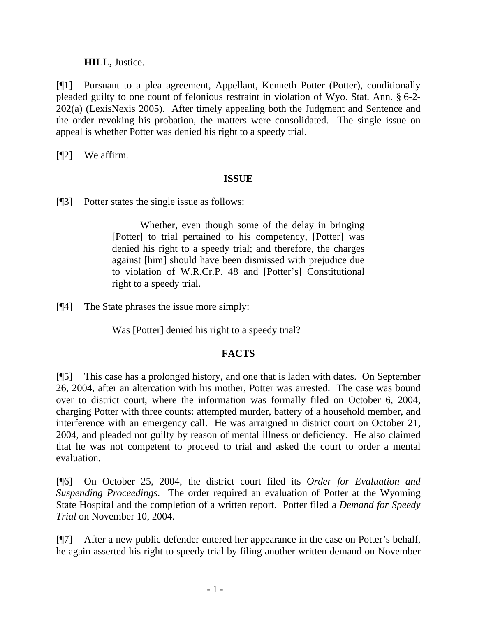## **HILL,** Justice.

[¶1] Pursuant to a plea agreement, Appellant, Kenneth Potter (Potter), conditionally pleaded guilty to one count of felonious restraint in violation of Wyo. Stat. Ann. § 6-2- 202(a) (LexisNexis 2005). After timely appealing both the Judgment and Sentence and the order revoking his probation, the matters were consolidated. The single issue on appeal is whether Potter was denied his right to a speedy trial.

[¶2] We affirm.

# **ISSUE**

[¶3] Potter states the single issue as follows:

Whether, even though some of the delay in bringing [Potter] to trial pertained to his competency, [Potter] was denied his right to a speedy trial; and therefore, the charges against [him] should have been dismissed with prejudice due to violation of W.R.Cr.P. 48 and [Potter's] Constitutional right to a speedy trial.

[¶4] The State phrases the issue more simply:

Was [Potter] denied his right to a speedy trial?

# **FACTS**

[¶5] This case has a prolonged history, and one that is laden with dates. On September 26, 2004, after an altercation with his mother, Potter was arrested. The case was bound over to district court, where the information was formally filed on October 6, 2004, charging Potter with three counts: attempted murder, battery of a household member, and interference with an emergency call. He was arraigned in district court on October 21, 2004, and pleaded not guilty by reason of mental illness or deficiency. He also claimed that he was not competent to proceed to trial and asked the court to order a mental evaluation.

[¶6] On October 25, 2004, the district court filed its *Order for Evaluation and Suspending Proceedings*. The order required an evaluation of Potter at the Wyoming State Hospital and the completion of a written report. Potter filed a *Demand for Speedy Trial* on November 10, 2004.

[¶7] After a new public defender entered her appearance in the case on Potter's behalf, he again asserted his right to speedy trial by filing another written demand on November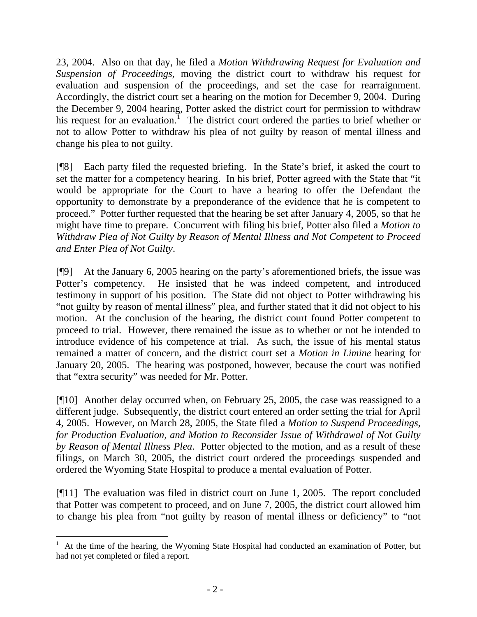23, 2004. Also on that day, he filed a *Motion Withdrawing Request for Evaluation and Suspension of Proceedings*, moving the district court to withdraw his request for evaluation and suspension of the proceedings, and set the case for rearraignment. Accordingly, the district court set a hearing on the motion for December 9, 2004. During the December 9, 2004 hearing, Potter asked the district court for permission to withdraw his request for an evaluation.<sup>[1](#page-3-0)</sup> The district court ordered the parties to brief whether or not to allow Potter to withdraw his plea of not guilty by reason of mental illness and change his plea to not guilty.

[¶8] Each party filed the requested briefing. In the State's brief, it asked the court to set the matter for a competency hearing. In his brief, Potter agreed with the State that "it would be appropriate for the Court to have a hearing to offer the Defendant the opportunity to demonstrate by a preponderance of the evidence that he is competent to proceed." Potter further requested that the hearing be set after January 4, 2005, so that he might have time to prepare. Concurrent with filing his brief, Potter also filed a *Motion to Withdraw Plea of Not Guilty by Reason of Mental Illness and Not Competent to Proceed and Enter Plea of Not Guilty*.

[¶9] At the January 6, 2005 hearing on the party's aforementioned briefs, the issue was Potter's competency. He insisted that he was indeed competent, and introduced testimony in support of his position. The State did not object to Potter withdrawing his "not guilty by reason of mental illness" plea, and further stated that it did not object to his motion. At the conclusion of the hearing, the district court found Potter competent to proceed to trial. However, there remained the issue as to whether or not he intended to introduce evidence of his competence at trial. As such, the issue of his mental status remained a matter of concern, and the district court set a *Motion in Limine* hearing for January 20, 2005. The hearing was postponed, however, because the court was notified that "extra security" was needed for Mr. Potter.

[¶10] Another delay occurred when, on February 25, 2005, the case was reassigned to a different judge. Subsequently, the district court entered an order setting the trial for April 4, 2005. However, on March 28, 2005, the State filed a *Motion to Suspend Proceedings, for Production Evaluation, and Motion to Reconsider Issue of Withdrawal of Not Guilty by Reason of Mental Illness Plea*. Potter objected to the motion, and as a result of these filings, on March 30, 2005, the district court ordered the proceedings suspended and ordered the Wyoming State Hospital to produce a mental evaluation of Potter.

[¶11] The evaluation was filed in district court on June 1, 2005. The report concluded that Potter was competent to proceed, and on June 7, 2005, the district court allowed him to change his plea from "not guilty by reason of mental illness or deficiency" to "not

<span id="page-3-0"></span><sup>1</sup> At the time of the hearing, the Wyoming State Hospital had conducted an examination of Potter, but had not yet completed or filed a report.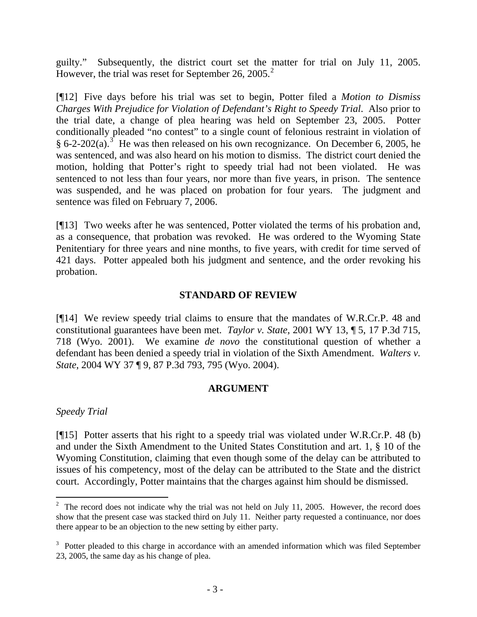guilty." Subsequently, the district court set the matter for trial on July 11, 2005. However, the trial was reset for September [2](#page-4-0)6, 2005.<sup>2</sup>

[¶12] Five days before his trial was set to begin, Potter filed a *Motion to Dismiss Charges With Prejudice for Violation of Defendant's Right to Speedy Trial*. Also prior to the trial date, a change of plea hearing was held on September 23, 2005. Potter conditionally pleaded "no contest" to a single count of felonious restraint in violation of § 6-2-202(a).<sup>[3](#page-4-1)</sup> He was then released on his own recognizance. On December 6, 2005, he was sentenced, and was also heard on his motion to dismiss. The district court denied the motion, holding that Potter's right to speedy trial had not been violated. He was sentenced to not less than four years, nor more than five years, in prison. The sentence was suspended, and he was placed on probation for four years. The judgment and sentence was filed on February 7, 2006.

[¶13] Two weeks after he was sentenced, Potter violated the terms of his probation and, as a consequence, that probation was revoked. He was ordered to the Wyoming State Penitentiary for three years and nine months, to five years, with credit for time served of 421 days. Potter appealed both his judgment and sentence, and the order revoking his probation.

#### **STANDARD OF REVIEW**

[¶14] We review speedy trial claims to ensure that the mandates of W.R.Cr.P. 48 and constitutional guarantees have been met. *Taylor v. State*, 2001 WY 13, ¶ 5, 17 P.3d 715, 718 (Wyo. 2001). We examine *de novo* the constitutional question of whether a defendant has been denied a speedy trial in violation of the Sixth Amendment. *Walters v. State*, 2004 WY 37 ¶ 9, 87 P.3d 793, 795 (Wyo. 2004).

## **ARGUMENT**

*Speedy Trial* 

[¶15] Potter asserts that his right to a speedy trial was violated under W.R.Cr.P. 48 (b) and under the Sixth Amendment to the United States Constitution and art. 1, § 10 of the Wyoming Constitution, claiming that even though some of the delay can be attributed to issues of his competency, most of the delay can be attributed to the State and the district court. Accordingly, Potter maintains that the charges against him should be dismissed.

<span id="page-4-0"></span><sup>&</sup>lt;sup>2</sup> The record does not indicate why the trial was not held on July 11, 2005. However, the record does show that the present case was stacked third on July 11. Neither party requested a continuance, nor does there appear to be an objection to the new setting by either party.

<span id="page-4-1"></span> $3$  Potter pleaded to this charge in accordance with an amended information which was filed September 23, 2005, the same day as his change of plea.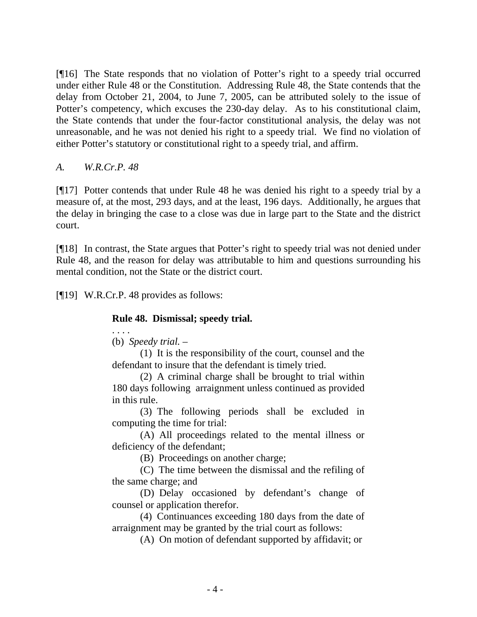[¶16] The State responds that no violation of Potter's right to a speedy trial occurred under either Rule 48 or the Constitution. Addressing Rule 48, the State contends that the delay from October 21, 2004, to June 7, 2005, can be attributed solely to the issue of Potter's competency, which excuses the 230-day delay. As to his constitutional claim, the State contends that under the four-factor constitutional analysis, the delay was not unreasonable, and he was not denied his right to a speedy trial. We find no violation of either Potter's statutory or constitutional right to a speedy trial, and affirm.

*A. W.R.Cr.P. 48* 

[¶17] Potter contends that under Rule 48 he was denied his right to a speedy trial by a measure of, at the most, 293 days, and at the least, 196 days. Additionally, he argues that the delay in bringing the case to a close was due in large part to the State and the district court.

[¶18] In contrast, the State argues that Potter's right to speedy trial was not denied under Rule 48, and the reason for delay was attributable to him and questions surrounding his mental condition, not the State or the district court.

[¶19] W.R.Cr.P. 48 provides as follows:

# **Rule 48. Dismissal; speedy trial.**

. . . . (b) *Speedy trial.* –

(1) It is the responsibility of the court, counsel and the defendant to insure that the defendant is timely tried.

(2) A criminal charge shall be brought to trial within 180 days following arraignment unless continued as provided in this rule.

(3) The following periods shall be excluded in computing the time for trial:

(A) All proceedings related to the mental illness or deficiency of the defendant;

(B) Proceedings on another charge;

(C) The time between the dismissal and the refiling of the same charge; and

(D) Delay occasioned by defendant's change of counsel or application therefor.

(4) Continuances exceeding 180 days from the date of arraignment may be granted by the trial court as follows:

(A) On motion of defendant supported by affidavit; or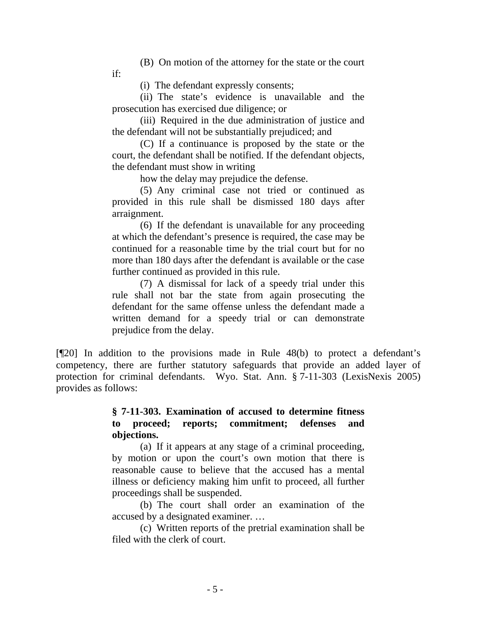(B) On motion of the attorney for the state or the court

if:

(i) The defendant expressly consents;

(ii) The state's evidence is unavailable and the prosecution has exercised due diligence; or

(iii) Required in the due administration of justice and the defendant will not be substantially prejudiced; and

(C) If a continuance is proposed by the state or the court, the defendant shall be notified. If the defendant objects, the defendant must show in writing

how the delay may prejudice the defense.

(5) Any criminal case not tried or continued as provided in this rule shall be dismissed 180 days after arraignment.

(6) If the defendant is unavailable for any proceeding at which the defendant's presence is required, the case may be continued for a reasonable time by the trial court but for no more than 180 days after the defendant is available or the case further continued as provided in this rule.

(7) A dismissal for lack of a speedy trial under this rule shall not bar the state from again prosecuting the defendant for the same offense unless the defendant made a written demand for a speedy trial or can demonstrate prejudice from the delay.

[¶20] In addition to the provisions made in Rule 48(b) to protect a defendant's competency, there are further statutory safeguards that provide an added layer of protection for criminal defendants. Wyo. Stat. Ann. § 7-11-303 (LexisNexis 2005) provides as follows:

# **§ 7-11-303. Examination of accused to determine fitness to proceed; reports; commitment; defenses and objections.**

(a) If it appears at any stage of a criminal proceeding, by motion or upon the court's own motion that there is reasonable cause to believe that the accused has a mental illness or deficiency making him unfit to proceed, all further proceedings shall be suspended.

(b) The court shall order an examination of the accused by a designated examiner. …

(c) Written reports of the pretrial examination shall be filed with the clerk of court.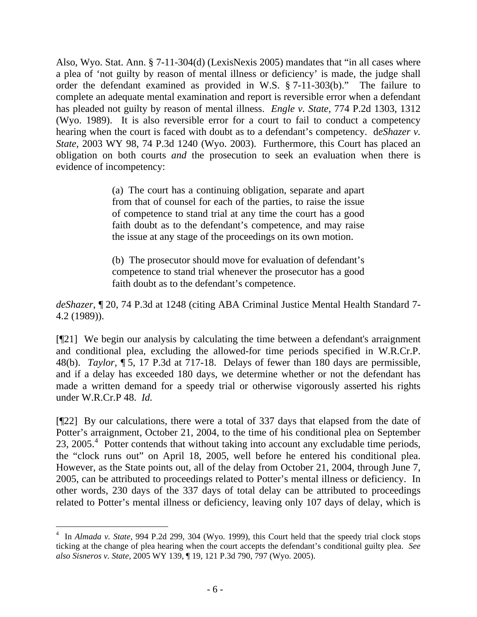Also, Wyo. Stat. Ann. § 7-11-304(d) (LexisNexis 2005) mandates that "in all cases where a plea of 'not guilty by reason of mental illness or deficiency' is made, the judge shall order the defendant examined as provided in W.S. § 7-11-303(b)." The failure to complete an adequate mental examination and report is reversible error when a defendant has pleaded not guilty by reason of mental illness. *Engle v. State,* 774 P.2d 1303, 1312 (Wyo. 1989). It is also reversible error for a court to fail to conduct a competency hearing when the court is faced with doubt as to a defendant's competency. d*eShazer v. State,* 2003 WY 98, 74 P.3d 1240 (Wyo. 2003). Furthermore, this Court has placed an obligation on both courts *and* the prosecution to seek an evaluation when there is evidence of incompetency:

> (a) The court has a continuing obligation, separate and apart from that of counsel for each of the parties, to raise the issue of competence to stand trial at any time the court has a good faith doubt as to the defendant's competence, and may raise the issue at any stage of the proceedings on its own motion.

> (b) The prosecutor should move for evaluation of defendant's competence to stand trial whenever the prosecutor has a good faith doubt as to the defendant's competence.

*deShazer*, ¶ 20, 74 P.3d at 1248 (citing ABA Criminal Justice Mental Health Standard 7- 4.2 (1989)).

[¶21] We begin our analysis by calculating the time between a defendant's arraignment and conditional plea, excluding the allowed-for time periods specified in W.R.Cr.P. 48(b). *Taylor*, ¶ 5, 17 P.3d at 717-18. Delays of fewer than 180 days are permissible, and if a delay has exceeded 180 days, we determine whether or not the defendant has made a written demand for a speedy trial or otherwise vigorously asserted his rights under W.R.Cr.P 48. *Id.*

[¶22] By our calculations, there were a total of 337 days that elapsed from the date of Potter's arraignment, October 21, 2004, to the time of his conditional plea on September 23, 2005.<sup>[4](#page-7-0)</sup> Potter contends that without taking into account any excludable time periods, the "clock runs out" on April 18, 2005, well before he entered his conditional plea. However, as the State points out, all of the delay from October 21, 2004, through June 7, 2005, can be attributed to proceedings related to Potter's mental illness or deficiency. In other words, 230 days of the 337 days of total delay can be attributed to proceedings related to Potter's mental illness or deficiency, leaving only 107 days of delay, which is

<span id="page-7-0"></span><sup>&</sup>lt;sup>4</sup> In *Almada v. State, 994 P.2d 299, 304 (Wyo. 1999), this Court held that the speedy trial clock stops* ticking at the change of plea hearing when the court accepts the defendant's conditional guilty plea. *See also Sisneros v. State,* 2005 WY 139, ¶ 19, 121 P.3d 790, 797 (Wyo. 2005).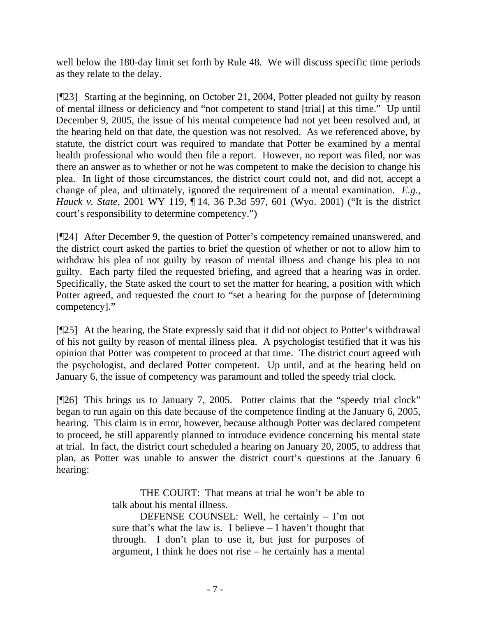well below the 180-day limit set forth by Rule 48. We will discuss specific time periods as they relate to the delay.

[¶23] Starting at the beginning, on October 21, 2004, Potter pleaded not guilty by reason of mental illness or deficiency and "not competent to stand [trial] at this time." Up until December 9, 2005, the issue of his mental competence had not yet been resolved and, at the hearing held on that date, the question was not resolved. As we referenced above, by statute, the district court was required to mandate that Potter be examined by a mental health professional who would then file a report. However, no report was filed, nor was there an answer as to whether or not he was competent to make the decision to change his plea. In light of those circumstances, the district court could not, and did not, accept a change of plea, and ultimately, ignored the requirement of a mental examination. *E.g.*, *Hauck v. State,* 2001 WY 119, ¶ 14, 36 P.3d 597, 601 (Wyo. 2001) ("It is the district court's responsibility to determine competency.")

[¶24] After December 9, the question of Potter's competency remained unanswered, and the district court asked the parties to brief the question of whether or not to allow him to withdraw his plea of not guilty by reason of mental illness and change his plea to not guilty. Each party filed the requested briefing, and agreed that a hearing was in order. Specifically, the State asked the court to set the matter for hearing, a position with which Potter agreed, and requested the court to "set a hearing for the purpose of [determining competency]."

[¶25] At the hearing, the State expressly said that it did not object to Potter's withdrawal of his not guilty by reason of mental illness plea. A psychologist testified that it was his opinion that Potter was competent to proceed at that time. The district court agreed with the psychologist, and declared Potter competent. Up until, and at the hearing held on January 6, the issue of competency was paramount and tolled the speedy trial clock.

[¶26] This brings us to January 7, 2005. Potter claims that the "speedy trial clock" began to run again on this date because of the competence finding at the January 6, 2005, hearing. This claim is in error, however, because although Potter was declared competent to proceed, he still apparently planned to introduce evidence concerning his mental state at trial. In fact, the district court scheduled a hearing on January 20, 2005, to address that plan, as Potter was unable to answer the district court's questions at the January 6 hearing:

> THE COURT: That means at trial he won't be able to talk about his mental illness.

> DEFENSE COUNSEL: Well, he certainly – I'm not sure that's what the law is. I believe – I haven't thought that through. I don't plan to use it, but just for purposes of argument, I think he does not rise – he certainly has a mental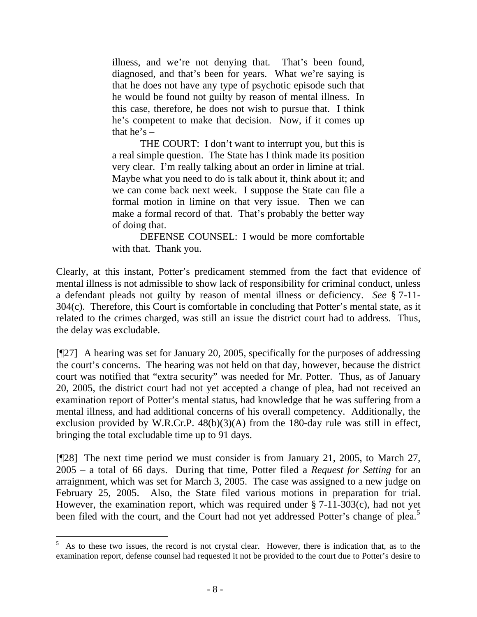illness, and we're not denying that. That's been found, diagnosed, and that's been for years. What we're saying is that he does not have any type of psychotic episode such that he would be found not guilty by reason of mental illness. In this case, therefore, he does not wish to pursue that. I think he's competent to make that decision. Now, if it comes up that he's  $-$ 

THE COURT: I don't want to interrupt you, but this is a real simple question. The State has I think made its position very clear. I'm really talking about an order in limine at trial. Maybe what you need to do is talk about it, think about it; and we can come back next week. I suppose the State can file a formal motion in limine on that very issue. Then we can make a formal record of that. That's probably the better way of doing that.

DEFENSE COUNSEL: I would be more comfortable with that. Thank you.

Clearly, at this instant, Potter's predicament stemmed from the fact that evidence of mental illness is not admissible to show lack of responsibility for criminal conduct, unless a defendant pleads not guilty by reason of mental illness or deficiency. *See* § 7-11- 304(c). Therefore, this Court is comfortable in concluding that Potter's mental state, as it related to the crimes charged, was still an issue the district court had to address. Thus, the delay was excludable.

[¶27] A hearing was set for January 20, 2005, specifically for the purposes of addressing the court's concerns. The hearing was not held on that day, however, because the district court was notified that "extra security" was needed for Mr. Potter. Thus, as of January 20, 2005, the district court had not yet accepted a change of plea, had not received an examination report of Potter's mental status, had knowledge that he was suffering from a mental illness, and had additional concerns of his overall competency. Additionally, the exclusion provided by W.R.Cr.P. 48(b)(3)(A) from the 180-day rule was still in effect, bringing the total excludable time up to 91 days.

[¶28] The next time period we must consider is from January 21, 2005, to March 27, 2005 – a total of 66 days. During that time, Potter filed a *Request for Setting* for an arraignment, which was set for March 3, 2005. The case was assigned to a new judge on February 25, 2005. Also, the State filed various motions in preparation for trial. However, the examination report, which was required under § 7-11-303(c), had not yet been filed with the court, and the Court had not yet addressed Potter's change of plea.<sup>[5](#page-9-0)</sup>

<span id="page-9-0"></span> $\frac{1}{5}$  As to these two issues, the record is not crystal clear. However, there is indication that, as to the examination report, defense counsel had requested it not be provided to the court due to Potter's desire to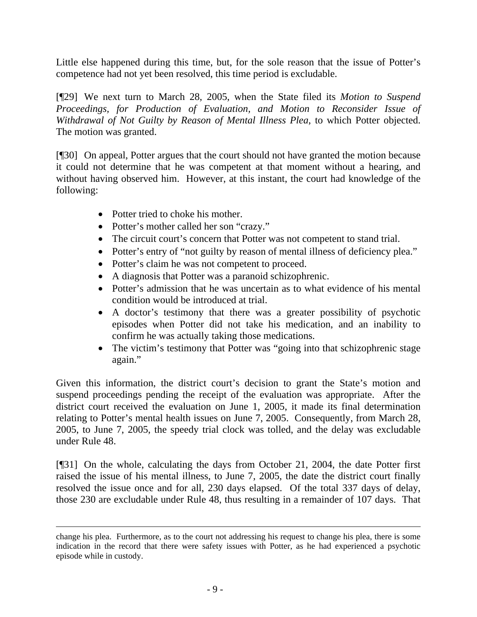Little else happened during this time, but, for the sole reason that the issue of Potter's competence had not yet been resolved, this time period is excludable.

[¶29] We next turn to March 28, 2005, when the State filed its *Motion to Suspend Proceedings, for Production of Evaluation, and Motion to Reconsider Issue of Withdrawal of Not Guilty by Reason of Mental Illness Plea*, to which Potter objected. The motion was granted.

[¶30] On appeal, Potter argues that the court should not have granted the motion because it could not determine that he was competent at that moment without a hearing, and without having observed him. However, at this instant, the court had knowledge of the following:

- Potter tried to choke his mother.
- Potter's mother called her son "crazy."
- The circuit court's concern that Potter was not competent to stand trial.
- Potter's entry of "not guilty by reason of mental illness of deficiency plea."
- Potter's claim he was not competent to proceed.
- A diagnosis that Potter was a paranoid schizophrenic.
- Potter's admission that he was uncertain as to what evidence of his mental condition would be introduced at trial.
- A doctor's testimony that there was a greater possibility of psychotic episodes when Potter did not take his medication, and an inability to confirm he was actually taking those medications.
- The victim's testimony that Potter was "going into that schizophrenic stage again."

Given this information, the district court's decision to grant the State's motion and suspend proceedings pending the receipt of the evaluation was appropriate. After the district court received the evaluation on June 1, 2005, it made its final determination relating to Potter's mental health issues on June 7, 2005. Consequently, from March 28, 2005, to June 7, 2005, the speedy trial clock was tolled, and the delay was excludable under Rule 48.

[¶31] On the whole, calculating the days from October 21, 2004, the date Potter first raised the issue of his mental illness, to June 7, 2005, the date the district court finally resolved the issue once and for all, 230 days elapsed. Of the total 337 days of delay, those 230 are excludable under Rule 48, thus resulting in a remainder of 107 days. That

change his plea. Furthermore, as to the court not addressing his request to change his plea, there is some indication in the record that there were safety issues with Potter, as he had experienced a psychotic episode while in custody.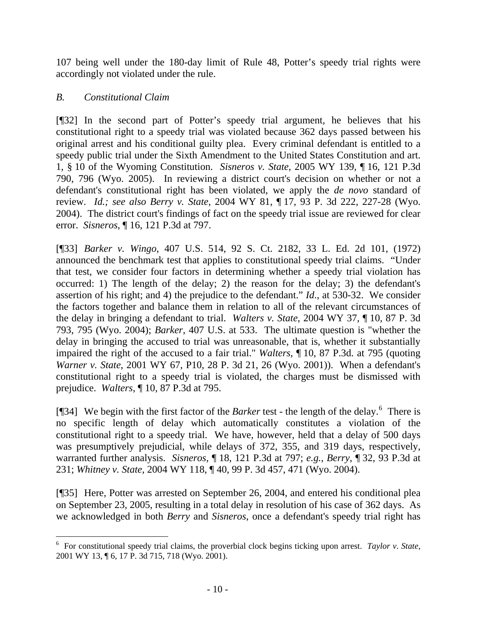107 being well under the 180-day limit of Rule 48, Potter's speedy trial rights were accordingly not violated under the rule.

## *B. Constitutional Claim*

[¶32] In the second part of Potter's speedy trial argument, he believes that his constitutional right to a speedy trial was violated because 362 days passed between his original arrest and his conditional guilty plea. Every criminal defendant is entitled to a speedy public trial under the Sixth Amendment to the United States Constitution and art. 1, § 10 of the Wyoming Constitution. *Sisneros v. State*, 2005 WY 139, ¶ 16, 121 P.3d 790, 796 (Wyo. 2005). In reviewing a district court's decision on whether or not a defendant's constitutional right has been violated, we apply the *de novo* standard of review. *Id.; see also Berry v. State*, 2004 WY 81, ¶ 17, 93 P. 3d 222, 227-28 (Wyo. 2004). The district court's findings of fact on the speedy trial issue are reviewed for clear error. *Sisneros*, ¶ 16, 121 P.3d at 797.

[¶33] *Barker v. Wingo*, 407 U.S. 514, 92 S. Ct. 2182, 33 L. Ed. 2d 101, (1972) announced the benchmark test that applies to constitutional speedy trial claims. "Under that test, we consider four factors in determining whether a speedy trial violation has occurred: 1) The length of the delay; 2) the reason for the delay; 3) the defendant's assertion of his right; and 4) the prejudice to the defendant." *Id*., at 530-32. We consider the factors together and balance them in relation to all of the relevant circumstances of the delay in bringing a defendant to trial. *Walters v. State*, 2004 WY 37, ¶ 10, 87 P. 3d 793, 795 (Wyo. 2004); *Barker*, 407 U.S. at 533. The ultimate question is "whether the delay in bringing the accused to trial was unreasonable, that is, whether it substantially impaired the right of the accused to a fair trial." *Walters*, ¶ 10, 87 P.3d. at 795 (quoting *Warner v. State*, 2001 WY 67, P10, 28 P. 3d 21, 26 (Wyo. 2001)). When a defendant's constitutional right to a speedy trial is violated, the charges must be dismissed with prejudice. *Walters*, ¶ 10, 87 P.3d at 795.

[¶34] We begin with the first factor of the *Barker* test - the length of the delay.<sup>[6](#page-11-0)</sup> There is no specific length of delay which automatically constitutes a violation of the constitutional right to a speedy trial. We have, however, held that a delay of 500 days was presumptively prejudicial, while delays of 372, 355, and 319 days, respectively, warranted further analysis. *Sisneros,* ¶ 18, 121 P.3d at 797; *e.g.*, *Berry*, ¶ 32, 93 P.3d at 231; *Whitney v. State*, 2004 WY 118, ¶ 40, 99 P. 3d 457, 471 (Wyo. 2004).

[¶35] Here, Potter was arrested on September 26, 2004, and entered his conditional plea on September 23, 2005, resulting in a total delay in resolution of his case of 362 days. As we acknowledged in both *Berry* and *Sisneros*, once a defendant's speedy trial right has

<span id="page-11-0"></span><sup>6</sup> For constitutional speedy trial claims, the proverbial clock begins ticking upon arrest. *[Taylor v](http://www.lexis.com/research/buttonTFLink?_m=41176f2826af222188bc63d111c1681f&_xfercite=%3ccite%20cc%3d%22USA%22%3e%3c%21%5bCDATA%5b2005%20WY%20139%5d%5d%3e%3c%2fcite%3e&_butType=3&_butStat=2&_butNum=26&_butInline=1&_butinfo=%3ccite%20cc%3d%22USA%22%3e%3c%21%5bCDATA%5b2001%20WY%2013%5d%5d%3e%3c%2fcite%3e&_fmtstr=FULL&docnum=2&_startdoc=1&wchp=dGLzVzz-zSkAz&_md5=6d6be0ef639e4bb34e374990c24e93fd)*. *State*, [2001 WY 13, ¶ 6, 17 P. 3d 715, 718 \(Wyo. 2001\).](http://www.lexis.com/research/buttonTFLink?_m=41176f2826af222188bc63d111c1681f&_xfercite=%3ccite%20cc%3d%22USA%22%3e%3c%21%5bCDATA%5b2005%20WY%20139%5d%5d%3e%3c%2fcite%3e&_butType=3&_butStat=2&_butNum=26&_butInline=1&_butinfo=%3ccite%20cc%3d%22USA%22%3e%3c%21%5bCDATA%5b2001%20WY%2013%5d%5d%3e%3c%2fcite%3e&_fmtstr=FULL&docnum=2&_startdoc=1&wchp=dGLzVzz-zSkAz&_md5=6d6be0ef639e4bb34e374990c24e93fd)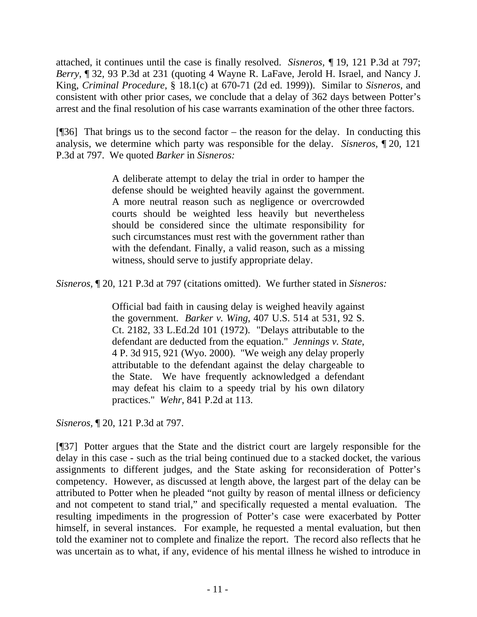attached, it continues until the case is finally resolved. *Sisneros, ¶* 19, 121 P.3d at 797; *Berry*, ¶ 32, 93 P.3d at 231 (quoting 4 Wayne R. LaFave, Jerold H. Israel, and Nancy J. King, *Criminal Procedure*, § 18.1(c) at 670-71 (2d ed. 1999)). Similar to *Sisneros*, and consistent with other prior cases, we conclude that a delay of 362 days between Potter's arrest and the final resolution of his case warrants examination of the other three factors.

[¶36] That brings us to the second factor – the reason for the delay. In conducting this analysis, we determine which party was responsible for the delay. *Sisneros,* ¶ 20, 121 P.3d at 797. We quoted *Barker* in *Sisneros:* 

> A deliberate attempt to delay the trial in order to hamper the defense should be weighted heavily against the government. A more neutral reason such as negligence or overcrowded courts should be weighted less heavily but nevertheless should be considered since the ultimate responsibility for such circumstances must rest with the government rather than with the defendant. Finally, a valid reason, such as a missing witness, should serve to justify appropriate delay.

*Sisneros,* ¶ 20, 121 P.3d at 797 (citations omitted). We further stated in *Sisneros:* 

Official bad faith in causing delay is weighed heavily against the government. *Barker v. Wing*[, 407 U.S. 514 at 531, 92 S.](http://www.lexis.com/research/buttonTFLink?_m=41176f2826af222188bc63d111c1681f&_xfercite=%3ccite%20cc%3d%22USA%22%3e%3c%21%5bCDATA%5b2005%20WY%20139%5d%5d%3e%3c%2fcite%3e&_butType=3&_butStat=2&_butNum=33&_butInline=1&_butinfo=%3ccite%20cc%3d%22USA%22%3e%3c%21%5bCDATA%5b407%20U.S.%20514%2cat%20531%5d%5d%3e%3c%2fcite%3e&_fmtstr=FULL&docnum=2&_startdoc=1&wchp=dGLzVzz-zSkAz&_md5=97b9defe2a68eff87eb2044f35d2cc9b)  [Ct. 2182, 33 L.Ed.2d 101 \(1972\).](http://www.lexis.com/research/buttonTFLink?_m=41176f2826af222188bc63d111c1681f&_xfercite=%3ccite%20cc%3d%22USA%22%3e%3c%21%5bCDATA%5b2005%20WY%20139%5d%5d%3e%3c%2fcite%3e&_butType=3&_butStat=2&_butNum=33&_butInline=1&_butinfo=%3ccite%20cc%3d%22USA%22%3e%3c%21%5bCDATA%5b407%20U.S.%20514%2cat%20531%5d%5d%3e%3c%2fcite%3e&_fmtstr=FULL&docnum=2&_startdoc=1&wchp=dGLzVzz-zSkAz&_md5=97b9defe2a68eff87eb2044f35d2cc9b) "Delays attributable to the defendant are deducted from the equation." *[Jennings v. State](http://www.lexis.com/research/buttonTFLink?_m=41176f2826af222188bc63d111c1681f&_xfercite=%3ccite%20cc%3d%22USA%22%3e%3c%21%5bCDATA%5b2005%20WY%20139%5d%5d%3e%3c%2fcite%3e&_butType=3&_butStat=2&_butNum=34&_butInline=1&_butinfo=%3ccite%20cc%3d%22USA%22%3e%3c%21%5bCDATA%5b4%20P.3d%20915%2cat%20921%5d%5d%3e%3c%2fcite%3e&_fmtstr=FULL&docnum=2&_startdoc=1&wchp=dGLzVzz-zSkAz&_md5=4f341f0b6b5dd6514bd40dc525daf6a0)*, [4 P. 3d 915, 921 \(Wyo. 2000\)](http://www.lexis.com/research/buttonTFLink?_m=41176f2826af222188bc63d111c1681f&_xfercite=%3ccite%20cc%3d%22USA%22%3e%3c%21%5bCDATA%5b2005%20WY%20139%5d%5d%3e%3c%2fcite%3e&_butType=3&_butStat=2&_butNum=34&_butInline=1&_butinfo=%3ccite%20cc%3d%22USA%22%3e%3c%21%5bCDATA%5b4%20P.3d%20915%2cat%20921%5d%5d%3e%3c%2fcite%3e&_fmtstr=FULL&docnum=2&_startdoc=1&wchp=dGLzVzz-zSkAz&_md5=4f341f0b6b5dd6514bd40dc525daf6a0). "We weigh any delay properly attributable to the defendant against the delay chargeable to the State. We have frequently acknowledged a defendant may defeat his claim to a speedy trial by his own dilatory practices." *Wehr*[, 841 P.2d at 113.](http://www.lexis.com/research/buttonTFLink?_m=41176f2826af222188bc63d111c1681f&_xfercite=%3ccite%20cc%3d%22USA%22%3e%3c%21%5bCDATA%5b2005%20WY%20139%5d%5d%3e%3c%2fcite%3e&_butType=3&_butStat=2&_butNum=35&_butInline=1&_butinfo=%3ccite%20cc%3d%22USA%22%3e%3c%21%5bCDATA%5b841%20P.2d%20104%2cat%20113%5d%5d%3e%3c%2fcite%3e&_fmtstr=FULL&docnum=2&_startdoc=1&wchp=dGLzVzz-zSkAz&_md5=b0666c22ad816dee8870c2e73777ab90)

*Sisneros,* ¶ 20, 121 P.3d at 797.

[¶37] Potter argues that the State and the district court are largely responsible for the delay in this case - such as the trial being continued due to a stacked docket, the various assignments to different judges, and the State asking for reconsideration of Potter's competency. However, as discussed at length above, the largest part of the delay can be attributed to Potter when he pleaded "not guilty by reason of mental illness or deficiency and not competent to stand trial," and specifically requested a mental evaluation. The resulting impediments in the progression of Potter's case were exacerbated by Potter himself, in several instances. For example, he requested a mental evaluation, but then told the examiner not to complete and finalize the report. The record also reflects that he was uncertain as to what, if any, evidence of his mental illness he wished to introduce in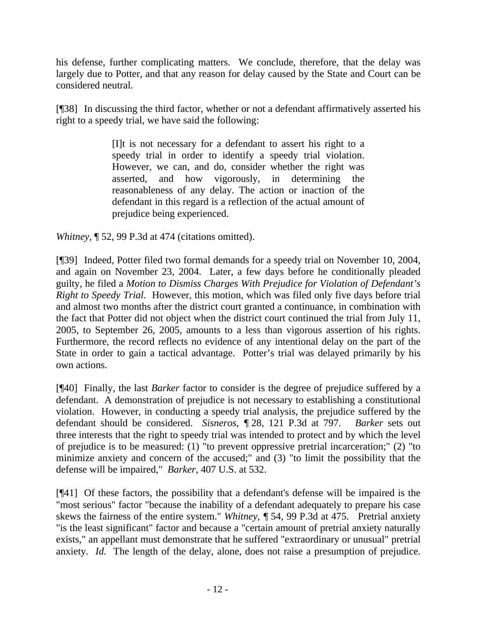his defense, further complicating matters. We conclude, therefore, that the delay was largely due to Potter, and that any reason for delay caused by the State and Court can be considered neutral.

[¶38] In discussing the third factor, whether or not a defendant affirmatively asserted his right to a speedy trial, we have said the following:

> [I]t is not necessary for a defendant to assert his right to a speedy trial in order to identify a speedy trial violation. However, we can, and do, consider whether the right was asserted, and how vigorously, in determining the reasonableness of any delay. The action or inaction of the defendant in this regard is a reflection of the actual amount of prejudice being experienced.

*Whitney*, ¶ 52, 99 P.3d at 474 (citations omitted).

[¶39] Indeed, Potter filed two formal demands for a speedy trial on November 10, 2004, and again on November 23, 2004. Later, a few days before he conditionally pleaded guilty, he filed a *Motion to Dismiss Charges With Prejudice for Violation of Defendant's Right to Speedy Trial.* However, this motion, which was filed only five days before trial and almost two months after the district court granted a continuance, in combination with the fact that Potter did not object when the district court continued the trial from July 11, 2005, to September 26, 2005, amounts to a less than vigorous assertion of his rights. Furthermore, the record reflects no evidence of any intentional delay on the part of the State in order to gain a tactical advantage. Potter's trial was delayed primarily by his own actions.

[¶40] Finally, the last *Barker* factor to consider is the degree of prejudice suffered by a defendant. A demonstration of prejudice is not necessary to establishing a constitutional violation. However, in conducting a speedy trial analysis, the prejudice suffered by the defendant should be considered. *Sisneros, ¶* 28, 121 P.3d at 797*. Barker* sets out three interests that the right to speedy trial was intended to protect and by which the level of prejudice is to be measured: (1) "to prevent oppressive pretrial incarceration;" (2) "to minimize anxiety and concern of the accused;" and (3) "to limit the possibility that the defense will be impaired," *Barker*, 407 U.S. at 532.

[¶41] Of these factors, the possibility that a defendant's defense will be impaired is the "most serious" factor "because the inability of a defendant adequately to prepare his case skews the fairness of the entire system." *Whitney, ¶* 54, 99 P.3d at 475.Pretrial anxiety "is the least significant" factor and because a "certain amount of pretrial anxiety naturally exists," an appellant must demonstrate that he suffered "extraordinary or unusual" pretrial anxiety. *Id.* The length of the delay, alone, does not raise a presumption of prejudice.